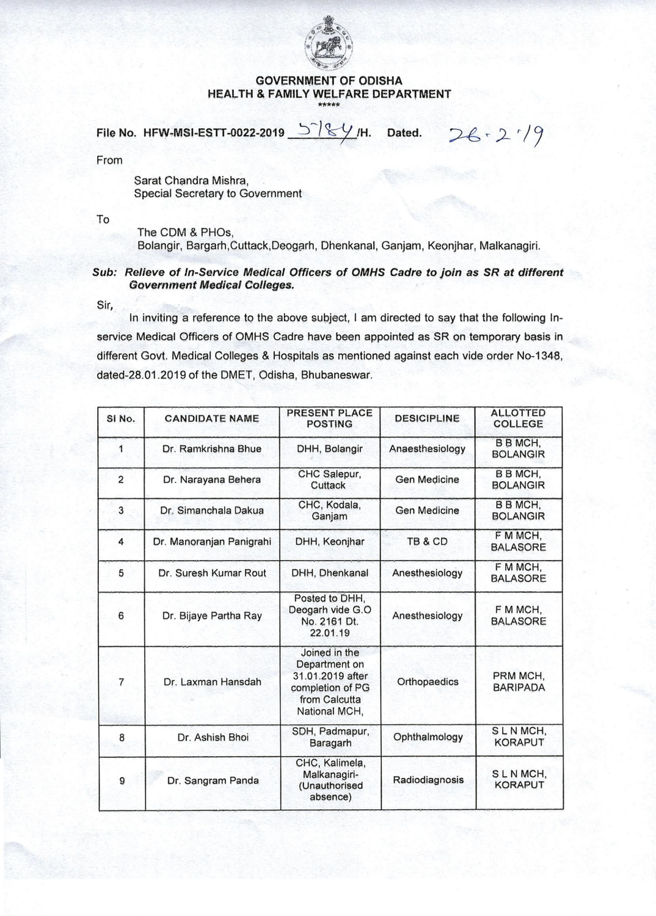

## **GOVERNMENT OF ODISHA HEALTH & FAMILY WELFARE DEPARTMENT**

 $26.219$ 

File No. HFW-MSI-ESTT-0022-2019  $\frac{1}{2}$  /  $\frac{1}{2}$  / H. Dated.

From

Sarat Chandra Mishra, Special Secretary to Government

To

The CDM & PHOs, Bolangir, Bargarh,Cuttack,Deogarh, Dhenkanal, Ganjam, Keonjhar, Malkanagiri.

## Sub: Relieve of ln-Service Medical Officers of OMHS Cadre to join as SR at different Government Medical Colleges.

Sir,

In inviting a reference to the above subject, I am directed to say that the following Inservice Medical Officers of OMHS Cadre have been appointed as SR on temporary basis in different Govt. Medical Colleges & Hospitals as mentioned against each vide order No-1348, dated-28.01.2019 of the DMET, Odisha, Bhubaneswar.

| SI <sub>No.</sub> | <b>CANDIDATE NAME</b>    | PRESENT PLACE<br><b>POSTING</b>                                                                          | <b>DESICIPLINE</b>  | <b>ALLOTTED</b><br><b>COLLEGE</b> |
|-------------------|--------------------------|----------------------------------------------------------------------------------------------------------|---------------------|-----------------------------------|
| 1                 | Dr. Ramkrishna Bhue      | DHH, Bolangir                                                                                            | Anaesthesiology     | <b>BBMCH,</b><br><b>BOLANGIR</b>  |
| $\overline{a}$    | Dr. Narayana Behera      | CHC Salepur,<br>Cuttack                                                                                  | <b>Gen Medicine</b> | <b>BBMCH,</b><br><b>BOLANGIR</b>  |
| 3                 | Dr. Simanchala Dakua     | CHC, Kodala,<br>Ganjam                                                                                   | Gen Medicine        | B B MCH,<br><b>BOLANGIR</b>       |
| 4                 | Dr. Manoranjan Panigrahi | DHH, Keonjhar                                                                                            | TB & CD             | F M MCH,<br><b>BALASORE</b>       |
| 5                 | Dr. Suresh Kumar Rout    | DHH, Dhenkanal                                                                                           | Anesthesiology      | F M MCH,<br><b>BALASORE</b>       |
| 6                 | Dr. Bijaye Partha Ray    | Posted to DHH,<br>Deogarh vide G.O<br>No. 2161 Dt.<br>22.01.19                                           | Anesthesiology      | F M MCH,<br><b>BALASORE</b>       |
| 7                 | Dr. Laxman Hansdah       | Joined in the<br>Department on<br>31.01.2019 after<br>completion of PG<br>from Calcutta<br>National MCH, | Orthopaedics        | PRM MCH,<br><b>BARIPADA</b>       |
| 8                 | Dr. Ashish Bhoi          | SDH, Padmapur,<br>Baragarh                                                                               | Ophthalmology       | SLNMCH,<br><b>KORAPUT</b>         |
| 9                 | Dr. Sangram Panda        | CHC, Kalimela,<br>Malkanagiri-<br>(Unauthorised<br>absence)                                              | Radiodiagnosis      | SLNMCH,<br><b>KORAPUT</b>         |